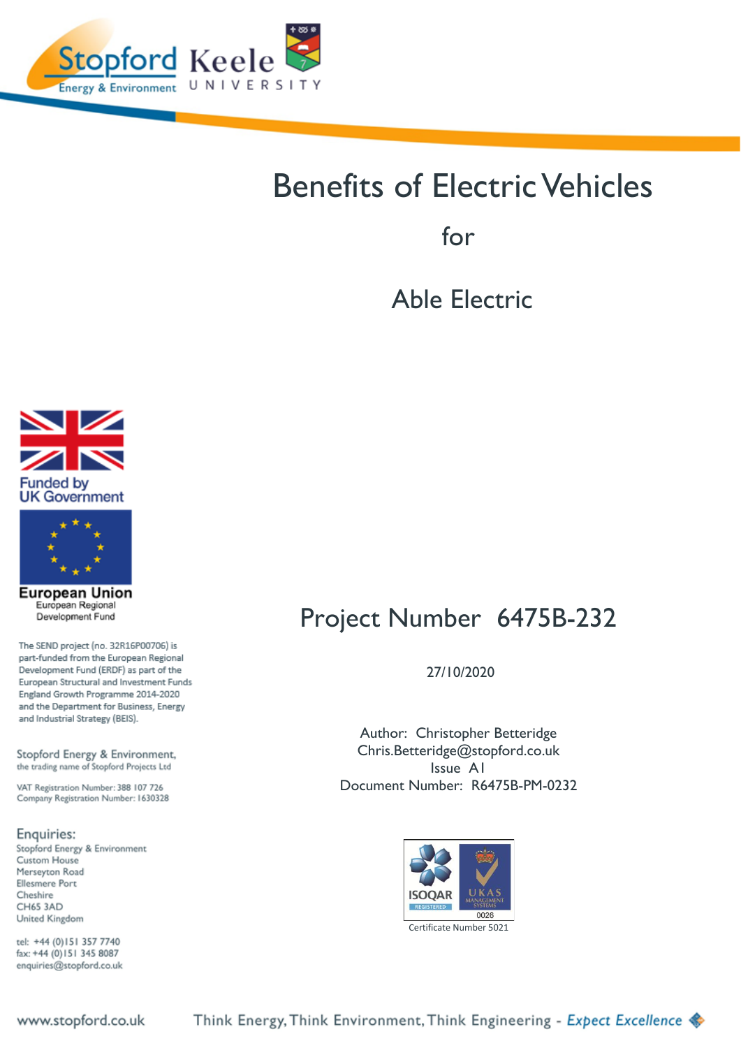<span id="page-0-0"></span>

# Benefits of Electric Vehicles

for

Able Electric





**European Union** European Regional Development Fund

The SEND project (no. 32R16P00706) is part-funded from the European Regional Development Fund (ERDF) as part of the European Structural and Investment Funds England Growth Programme 2014-2020 and the Department for Business, Energy and Industrial Strategy (BEIS).

Stopford Energy & Environment, the trading name of Stopford Projects Ltd

VAT Registration Number: 388 107 726 Company Registration Number: 1630328

Enquiries:

Stopford Energy & Environment Custom House Merseyton Road **Ellesmere Port** Cheshire CH65 3AD United Kingdom

tel: +44 (0)151 357 7740 fax: +44 (0) 151 345 8087 enquiries@stopford.co.uk

# Project Number 6475B-232

27/10/2020

Author: Christopher Betteridge Chris.Betteridge@stopford.co.uk Issue A1 Document Number: R6475B-PM-0232



Think Energy, Think Environment, Think Engineering - Expect Excellence

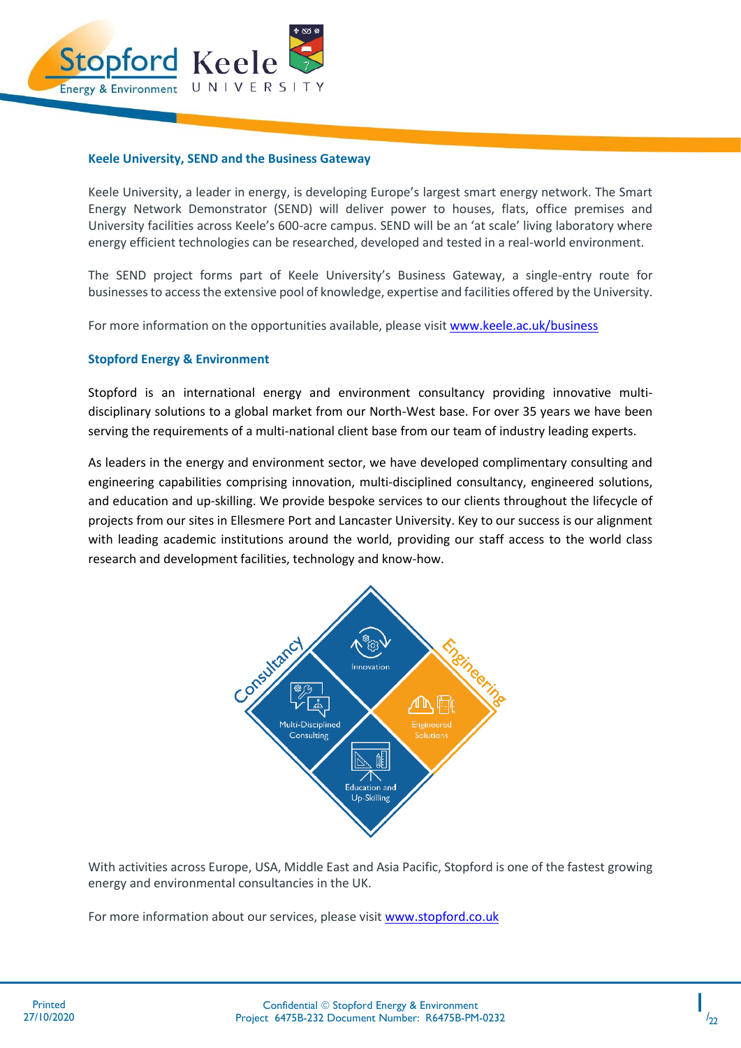

#### **Keele University, SEND and the Business Gateway**

Keele University, a leader in energy, is developing Europe's largest smart energy network. The Smart Energy Network Demonstrator (SEND) will deliver power to houses, flats, office premises and University facilities across Keele's 600-acre campus. SEND will be an 'at scale' living laboratory where energy efficient technologies can be researched, developed and tested in a real-world environment.

The SEND project forms part of Keele University's Business Gateway, a single-entry route for businesses to access the extensive pool of knowledge, expertise and facilities offered by the University.

For more information on the opportunities available, please visi[t www.keele.ac.uk/business](http://www.keele.ac.uk/business)

#### **Stopford Energy & Environment**

Stopford is an international energy and environment consultancy providing innovative multidisciplinary solutions to a global market from our North-West base. For over 35 years we have been serving the requirements of a multi-national client base from our team of industry leading experts.

As leaders in the energy and environment sector, we have developed complimentary consulting and engineering capabilities comprising innovation, multi-disciplined consultancy, engineered solutions, and education and up-skilling. We provide bespoke services to our clients throughout the lifecycle of projects from our sites in Ellesmere Port and Lancaster University. Key to our success is our alignment with leading academic institutions around the world, providing our staff access to the world class research and development facilities, technology and know-how.



With activities across Europe, USA, Middle East and Asia Pacific, Stopford is one of the fastest growing energy and environmental consultancies in the UK.

For more information about our services, please visit [www.stopford.co.uk](http://www.stopford.co.uk/)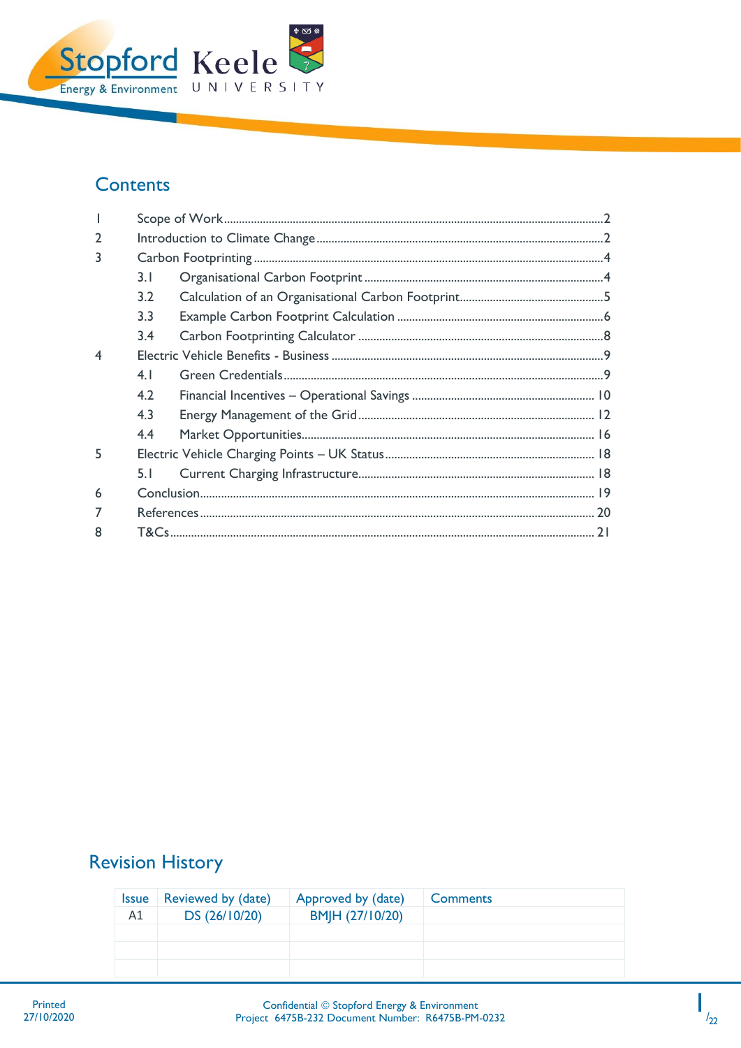

## **Contents**

| $\overline{2}$          |     |  |  |  |  |  |  |  |
|-------------------------|-----|--|--|--|--|--|--|--|
| 3                       |     |  |  |  |  |  |  |  |
|                         | 3.1 |  |  |  |  |  |  |  |
|                         | 3.2 |  |  |  |  |  |  |  |
|                         | 3.3 |  |  |  |  |  |  |  |
|                         | 3.4 |  |  |  |  |  |  |  |
| $\overline{\mathbf{4}}$ |     |  |  |  |  |  |  |  |
|                         | 4.1 |  |  |  |  |  |  |  |
|                         | 4.2 |  |  |  |  |  |  |  |
|                         | 4.3 |  |  |  |  |  |  |  |
|                         | 4.4 |  |  |  |  |  |  |  |
| 5                       |     |  |  |  |  |  |  |  |
|                         | 5.1 |  |  |  |  |  |  |  |
| $6\overline{6}$         |     |  |  |  |  |  |  |  |
|                         |     |  |  |  |  |  |  |  |
| 8                       |     |  |  |  |  |  |  |  |

# **Revision History**

| <i><b>Issue</b></i> | Reviewed by (date) | Approved by (date) | <b>Comments</b> |
|---------------------|--------------------|--------------------|-----------------|
| A1                  | DS (26/10/20)      | BM H (27/10/20)    |                 |
|                     |                    |                    |                 |
|                     |                    |                    |                 |
|                     |                    |                    |                 |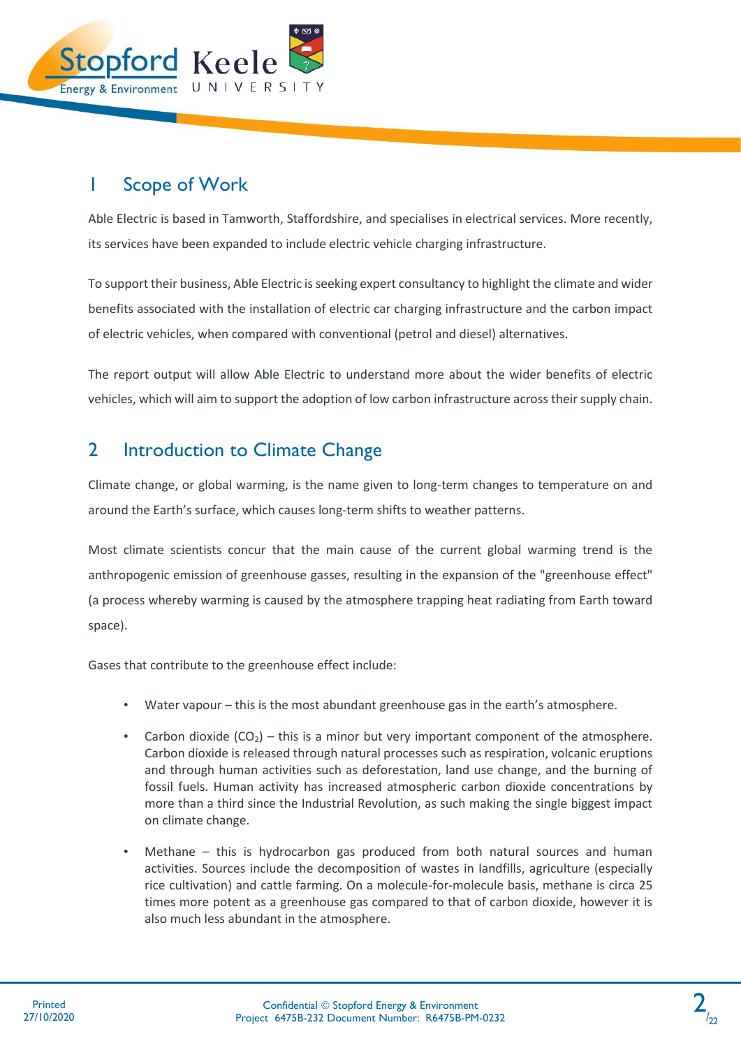

# <span id="page-3-0"></span>1 Scope of Work

Able Electric is based in Tamworth, Staffordshire, and specialises in electrical services. More recently, its services have been expanded to include electric vehicle charging infrastructure.

To support their business, Able Electric is seeking expert consultancy to highlight the climate and wider benefits associated with the installation of electric car charging infrastructure and the carbon impact of electric vehicles, when compared with conventional (petrol and diesel) alternatives.

The report output will allow Able Electric to understand more about the wider benefits of electric vehicles, which will aim to support the adoption of low carbon infrastructure across their supply chain.

### <span id="page-3-1"></span>2 Introduction to Climate Change

Climate change, or global warming, is the name given to long-term changes to temperature on and around the Earth's surface, which causes long-term shifts to weather patterns.

Most climate scientists concur that the main cause of the current global warming trend is the anthropogenic emission of greenhouse gasses, resulting in the expansion of the "greenhouse effect" (a process whereby warming is caused by the atmosphere trapping heat radiating from Earth toward space).

Gases that contribute to the greenhouse effect include:

- Water vapour this is the most abundant greenhouse gas in the earth's atmosphere.
- Carbon dioxide  $(CO<sub>2</sub>)$  this is a minor but very important component of the atmosphere. Carbon dioxide is released through natural processes such as respiration, volcanic eruptions and through human activities such as deforestation, land use change, and the burning of fossil fuels. Human activity has increased atmospheric carbon dioxide concentrations by more than a third since the Industrial Revolution, as such making the single biggest impact on climate change.
- Methane this is hydrocarbon gas produced from both natural sources and human activities. Sources include the decomposition of wastes in landfills, agriculture (especially rice cultivation) and cattle farming. On a molecule-for-molecule basis, methane is circa 25 times more potent as a greenhouse gas compared to that of carbon dioxide, however it is also much less abundant in the atmosphere.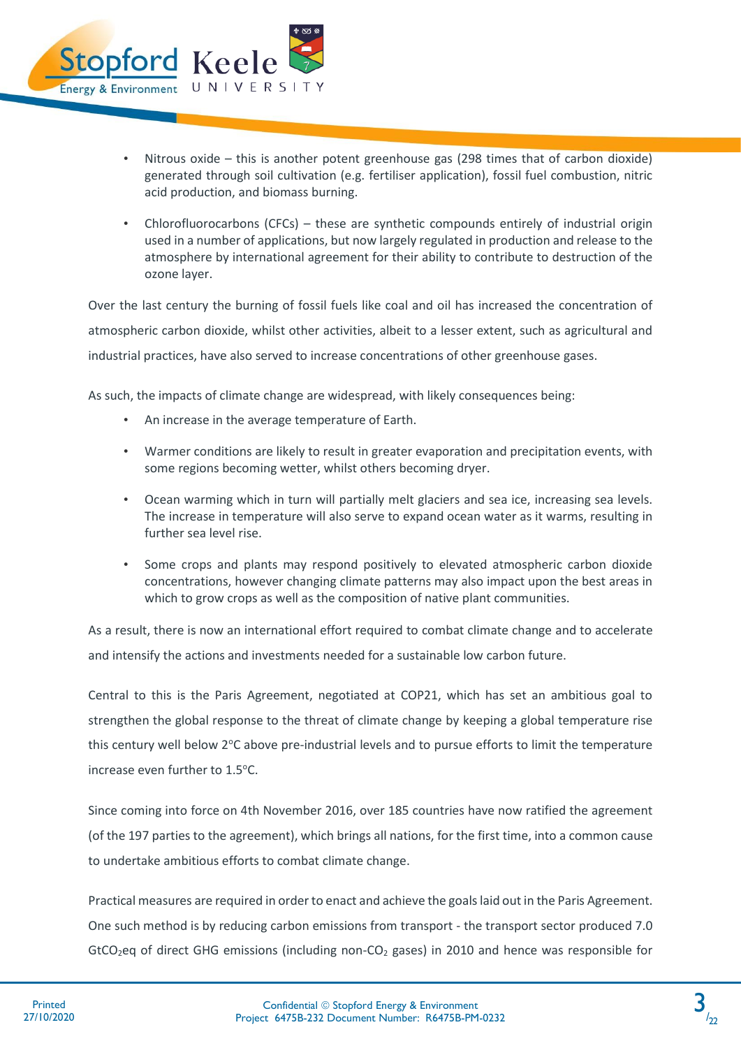

- Nitrous oxide this is another potent greenhouse gas (298 times that of carbon dioxide) generated through soil cultivation (e.g. fertiliser application), fossil fuel combustion, nitric acid production, and biomass burning.
- Chlorofluorocarbons (CFCs) these are synthetic compounds entirely of industrial origin used in a number of applications, but now largely regulated in production and release to the atmosphere by international agreement for their ability to contribute to destruction of the ozone layer.

Over the last century the burning of fossil fuels like coal and oil has increased the concentration of atmospheric carbon dioxide, whilst other activities, albeit to a lesser extent, such as agricultural and industrial practices, have also served to increase concentrations of other greenhouse gases.

As such, the impacts of climate change are widespread, with likely consequences being:

- An increase in the average temperature of Earth.
- Warmer conditions are likely to result in greater evaporation and precipitation events, with some regions becoming wetter, whilst others becoming dryer.
- Ocean warming which in turn will partially melt glaciers and sea ice, increasing sea levels. The increase in temperature will also serve to expand ocean water as it warms, resulting in further sea level rise.
- Some crops and plants may respond positively to elevated atmospheric carbon dioxide concentrations, however changing climate patterns may also impact upon the best areas in which to grow crops as well as the composition of native plant communities.

As a result, there is now an international effort required to combat climate change and to accelerate and intensify the actions and investments needed for a sustainable low carbon future.

Central to this is the Paris Agreement, negotiated at COP21, which has set an ambitious goal to strengthen the global response to the threat of climate change by keeping a global temperature rise this century well below 2°C above pre-industrial levels and to pursue efforts to limit the temperature increase even further to 1.5°C.

Since coming into force on 4th November 2016, over 185 countries have now ratified the agreement (of the 197 parties to the agreement), which brings all nations, for the first time, into a common cause to undertake ambitious efforts to combat climate change.

Practical measures are required in order to enact and achieve the goals laid out in the Paris Agreement. One such method is by reducing carbon emissions from transport - the transport sector produced 7.0 GtCO<sub>2</sub>eq of direct GHG emissions (including non-CO<sub>2</sub> gases) in 2010 and hence was responsible for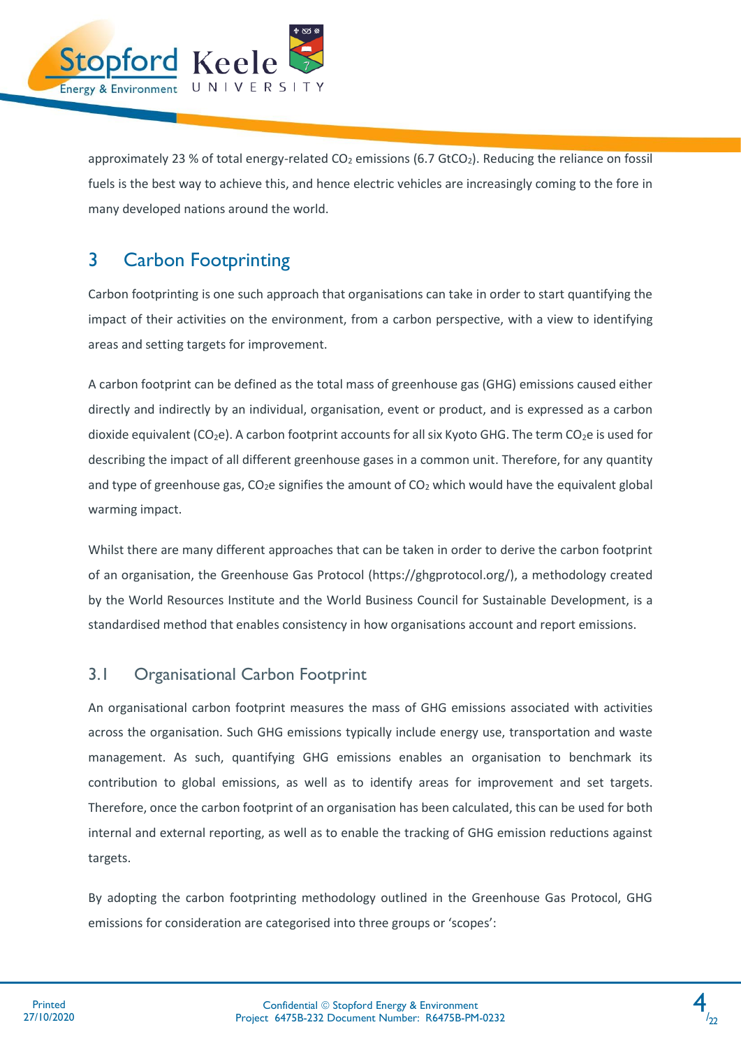

approximately 23 % of total energy-related  $CO<sub>2</sub>$  emissions (6.7 GtCO<sub>2</sub>). Reducing the reliance on fossil fuels is the best way to achieve this, and hence electric vehicles are increasingly coming to the fore in many developed nations around the world.

# <span id="page-5-0"></span>3 Carbon Footprinting

Carbon footprinting is one such approach that organisations can take in order to start quantifying the impact of their activities on the environment, from a carbon perspective, with a view to identifying areas and setting targets for improvement.

A carbon footprint can be defined as the total mass of greenhouse gas (GHG) emissions caused either directly and indirectly by an individual, organisation, event or product, and is expressed as a carbon dioxide equivalent  $(CO_2e)$ . A carbon footprint accounts for all six Kyoto GHG. The term  $CO_2e$  is used for describing the impact of all different greenhouse gases in a common unit. Therefore, for any quantity and type of greenhouse gas,  $CO<sub>2</sub>e$  signifies the amount of  $CO<sub>2</sub>$  which would have the equivalent global warming impact.

Whilst there are many different approaches that can be taken in order to derive the carbon footprint of an organisation, the Greenhouse Gas Protocol (https://ghgprotocol.org/), a methodology created by the World Resources Institute and the World Business Council for Sustainable Development, is a standardised method that enables consistency in how organisations account and report emissions.

### <span id="page-5-1"></span>3.1 Organisational Carbon Footprint

An organisational carbon footprint measures the mass of GHG emissions associated with activities across the organisation. Such GHG emissions typically include energy use, transportation and waste management. As such, quantifying GHG emissions enables an organisation to benchmark its contribution to global emissions, as well as to identify areas for improvement and set targets. Therefore, once the carbon footprint of an organisation has been calculated, this can be used for both internal and external reporting, as well as to enable the tracking of GHG emission reductions against targets.

By adopting the carbon footprinting methodology outlined in the Greenhouse Gas Protocol, GHG emissions for consideration are categorised into three groups or 'scopes':

4  $/22$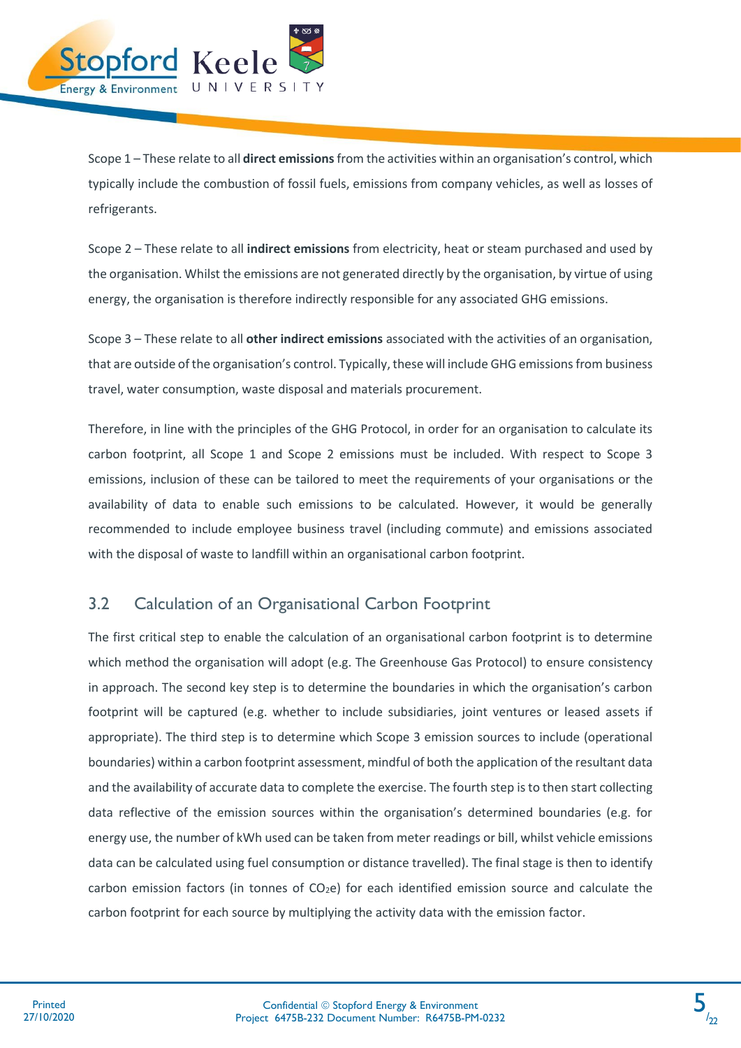

Scope 1 – These relate to all **direct emissions**from the activities within an organisation's control, which typically include the combustion of fossil fuels, emissions from company vehicles, as well as losses of refrigerants.

Scope 2 – These relate to all **indirect emissions** from electricity, heat or steam purchased and used by the organisation. Whilst the emissions are not generated directly by the organisation, by virtue of using energy, the organisation is therefore indirectly responsible for any associated GHG emissions.

Scope 3 – These relate to all **other indirect emissions** associated with the activities of an organisation, that are outside of the organisation's control. Typically, these will include GHG emissions from business travel, water consumption, waste disposal and materials procurement.

Therefore, in line with the principles of the GHG Protocol, in order for an organisation to calculate its carbon footprint, all Scope 1 and Scope 2 emissions must be included. With respect to Scope 3 emissions, inclusion of these can be tailored to meet the requirements of your organisations or the availability of data to enable such emissions to be calculated. However, it would be generally recommended to include employee business travel (including commute) and emissions associated with the disposal of waste to landfill within an organisational carbon footprint.

### <span id="page-6-0"></span>3.2 Calculation of an Organisational Carbon Footprint

The first critical step to enable the calculation of an organisational carbon footprint is to determine which method the organisation will adopt (e.g. The Greenhouse Gas Protocol) to ensure consistency in approach. The second key step is to determine the boundaries in which the organisation's carbon footprint will be captured (e.g. whether to include subsidiaries, joint ventures or leased assets if appropriate). The third step is to determine which Scope 3 emission sources to include (operational boundaries) within a carbon footprint assessment, mindful of both the application of the resultant data and the availability of accurate data to complete the exercise. The fourth step is to then start collecting data reflective of the emission sources within the organisation's determined boundaries (e.g. for energy use, the number of kWh used can be taken from meter readings or bill, whilst vehicle emissions data can be calculated using fuel consumption or distance travelled). The final stage is then to identify carbon emission factors (in tonnes of  $CO<sub>2</sub>e$ ) for each identified emission source and calculate the carbon footprint for each source by multiplying the activity data with the emission factor.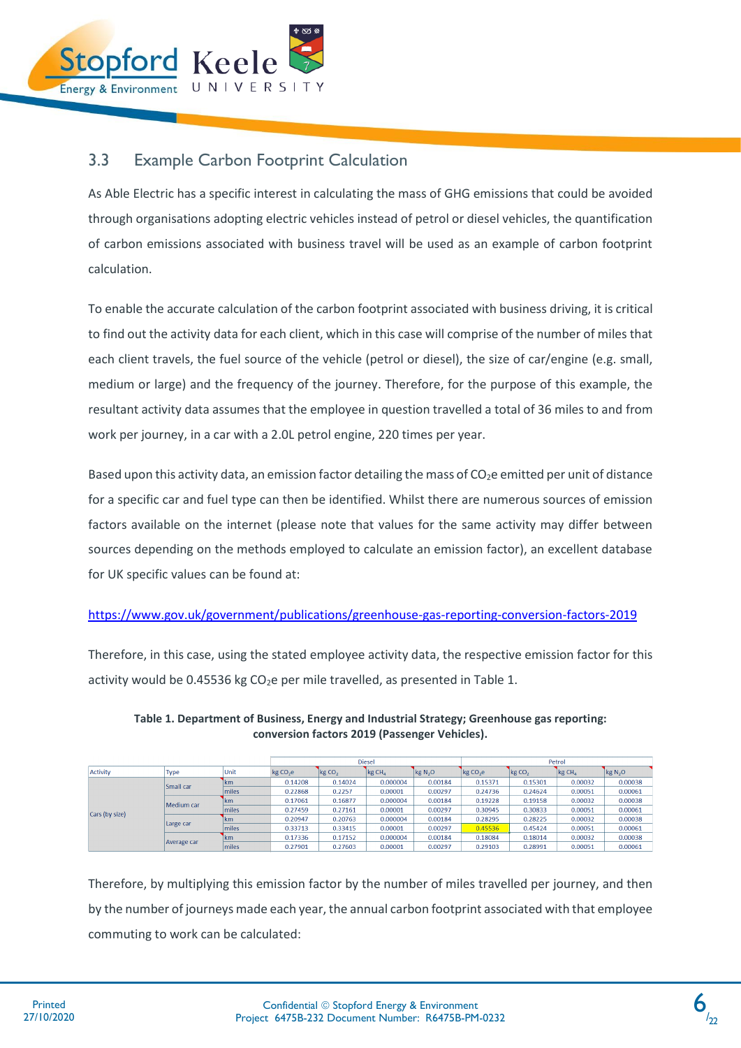

### <span id="page-7-0"></span>3.3 Example Carbon Footprint Calculation

As Able Electric has a specific interest in calculating the mass of GHG emissions that could be avoided through organisations adopting electric vehicles instead of petrol or diesel vehicles, the quantification of carbon emissions associated with business travel will be used as an example of carbon footprint calculation.

To enable the accurate calculation of the carbon footprint associated with business driving, it is critical to find out the activity data for each client, which in this case will comprise of the number of miles that each client travels, the fuel source of the vehicle (petrol or diesel), the size of car/engine (e.g. small, medium or large) and the frequency of the journey. Therefore, for the purpose of this example, the resultant activity data assumes that the employee in question travelled a total of 36 miles to and from work per journey, in a car with a 2.0L petrol engine, 220 times per year.

Based upon this activity data, an emission factor detailing the mass of  $CO<sub>2</sub>e$  emitted per unit of distance for a specific car and fuel type can then be identified. Whilst there are numerous sources of emission factors available on the internet (please note that values for the same activity may differ between sources depending on the methods employed to calculate an emission factor), an excellent database for UK specific values can be found at:

#### <https://www.gov.uk/government/publications/greenhouse-gas-reporting-conversion-factors-2019>

Therefore, in this case, using the stated employee activity data, the respective emission factor for this activity would be 0.45536 kg  $CO<sub>2</sub>e$  per mile travelled, as presented in Table 1.

|                |             |               | <b>Diesel</b>        |                   |                    |              | Petrol      |                   |             |                     |  |
|----------------|-------------|---------------|----------------------|-------------------|--------------------|--------------|-------------|-------------------|-------------|---------------------|--|
| Activity       | <b>Type</b> | Unit          | kg CO <sub>2</sub> e | kgCO <sub>2</sub> | kg CH <sub>4</sub> | $\log N_2$ O | $\log CO2e$ | kgCO <sub>2</sub> | $\log CH_4$ | kg N <sub>2</sub> O |  |
|                | Small car   | 1km           | 0.14208              | 0.14024           | 0.000004           | 0.00184      | 0.15371     | 0.15301           | 0.00032     | 0.00038             |  |
|                |             | miles         | 0.22868              | 0.2257            | 0.00001            | 0.00297      | 0.24736     | 0.24624           | 0.00051     | 0.00061             |  |
|                | Medium car  | 1km           | 0.17061              | 0.16877           | 0.000004           | 0.00184      | 0.19228     | 0.19158           | 0.00032     | 0.00038             |  |
| Cars (by size) |             | miles         | 0.27459              | 0.27161           | 0.00001            | 0.00297      | 0.30945     | 0.30833           | 0.00051     | 0.00061             |  |
|                | Large car   | 1km           | 0.20947              | 0.20763           | 0.000004           | 0.00184      | 0.28295     | 0.28225           | 0.00032     | 0.00038             |  |
|                |             | miles         | 0.33713              | 0.33415           | 0.00001            | 0.00297      | 0.45536     | 0.45424           | 0.00051     | 0.00061             |  |
|                | Average car | <b>Ikm</b>    | 0.17336              | 0.17152           | 0.000004           | 0.00184      | 0.18084     | 0.18014           | 0.00032     | 0.00038             |  |
|                |             | <b>Imiles</b> | 0.27901              | 0.27603           | 0.00001            | 0.00297      | 0.29103     | 0.28991           | 0.00051     | 0.00061             |  |

**Table 1. Department of Business, Energy and Industrial Strategy; Greenhouse gas reporting: conversion factors 2019 (Passenger Vehicles).**

Therefore, by multiplying this emission factor by the number of miles travelled per journey, and then by the number of journeys made each year, the annual carbon footprint associated with that employee commuting to work can be calculated: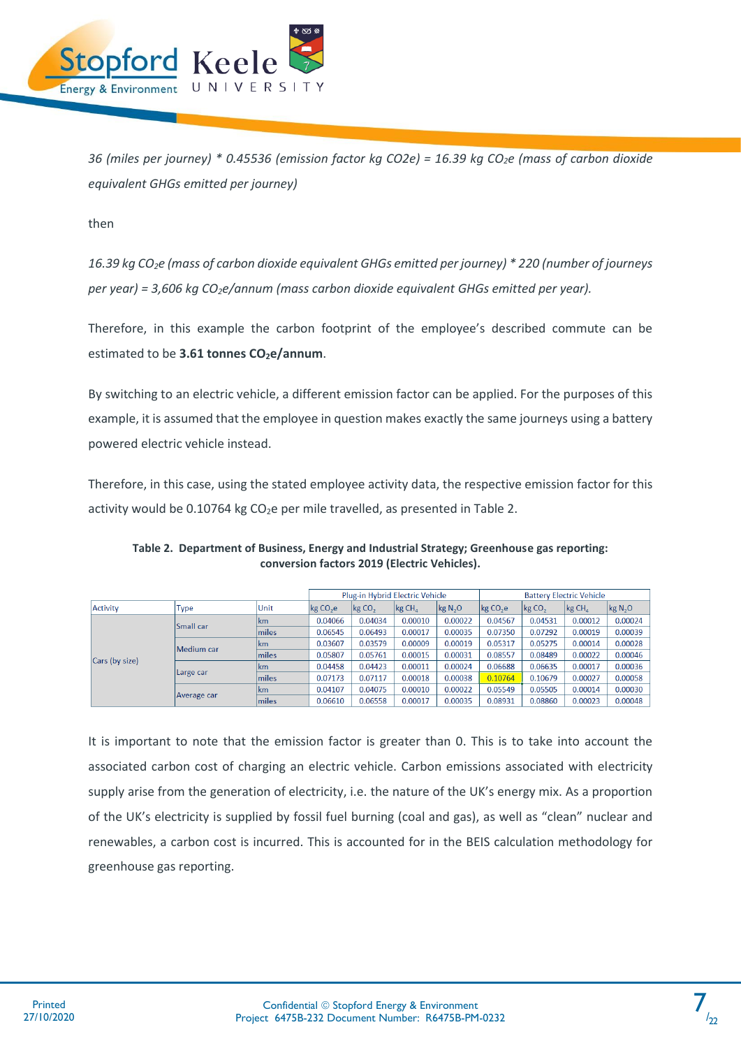

*36 (miles per journey) \* 0.45536 (emission factor kg CO2e) = 16.39 kg CO2e (mass of carbon dioxide equivalent GHGs emitted per journey)*

then

*16.39 kg CO2e (mass of carbon dioxide equivalent GHGs emitted per journey) \* 220 (number of journeys per year) = 3,606 kg CO2e/annum (mass carbon dioxide equivalent GHGs emitted per year).*

Therefore, in this example the carbon footprint of the employee's described commute can be estimated to be **3.61 tonnes CO2e/annum**.

By switching to an electric vehicle, a different emission factor can be applied. For the purposes of this example, it is assumed that the employee in question makes exactly the same journeys using a battery powered electric vehicle instead.

Therefore, in this case, using the stated employee activity data, the respective emission factor for this activity would be 0.10764 kg  $CO<sub>2</sub>e$  per mile travelled, as presented in Table 2.

|                |             |               | Plug-in Hybrid Electric Vehicle |                   |                        |                     | <b>Battery Electric Vehicle</b> |            |                   |              |
|----------------|-------------|---------------|---------------------------------|-------------------|------------------------|---------------------|---------------------------------|------------|-------------------|--------------|
| Activity       | Type        | Unit          | kgCO <sub>2</sub> e             | kgCO <sub>2</sub> | $\log$ CH <sub>4</sub> | kg N <sub>2</sub> O | $\log CO2$ e                    | $\log CO2$ | kgCH <sub>a</sub> | $\log N_2$ O |
|                | Small car   | km            | 0.04066                         | 0.04034           | 0.00010                | 0.00022             | 0.04567                         | 0.04531    | 0.00012           | 0.00024      |
|                |             | miles         | 0.06545                         | 0.06493           | 0.00017                | 0.00035             | 0.07350                         | 0.07292    | 0.00019           | 0.00039      |
|                | Medium car  | lkm           | 0.03607                         | 0.03579           | 0.00009                | 0.00019             | 0.05317                         | 0.05275    | 0.00014           | 0.00028      |
| Cars (by size) |             | miles         | 0.05807                         | 0.05761           | 0.00015                | 0.00031             | 0.08557                         | 0.08489    | 0.00022           | 0.00046      |
|                |             | km            | 0.04458                         | 0.04423           | 0.00011                | 0.00024             | 0.06688                         | 0.06635    | 0.00017           | 0.00036      |
|                | Large car   | miles         | 0.07173                         | 0.07117           | 0.00018                | 0.00038             | 0.10764                         | 0.10679    | 0.00027           | 0.00058      |
|                |             | km            | 0.04107                         | 0.04075           | 0.00010                | 0.00022             | 0.05549                         | 0.05505    | 0.00014           | 0.00030      |
|                | Average car | <b>Imiles</b> | 0.06610                         | 0.06558           | 0.00017                | 0.00035             | 0.08931                         | 0.08860    | 0.00023           | 0.00048      |

**Table 2. Department of Business, Energy and Industrial Strategy; Greenhouse gas reporting: conversion factors 2019 (Electric Vehicles).**

It is important to note that the emission factor is greater than 0. This is to take into account the associated carbon cost of charging an electric vehicle. Carbon emissions associated with electricity supply arise from the generation of electricity, i.e. the nature of the UK's energy mix. As a proportion of the UK's electricity is supplied by fossil fuel burning (coal and gas), as well as "clean" nuclear and renewables, a carbon cost is incurred. This is accounted for in the BEIS calculation methodology for greenhouse gas reporting.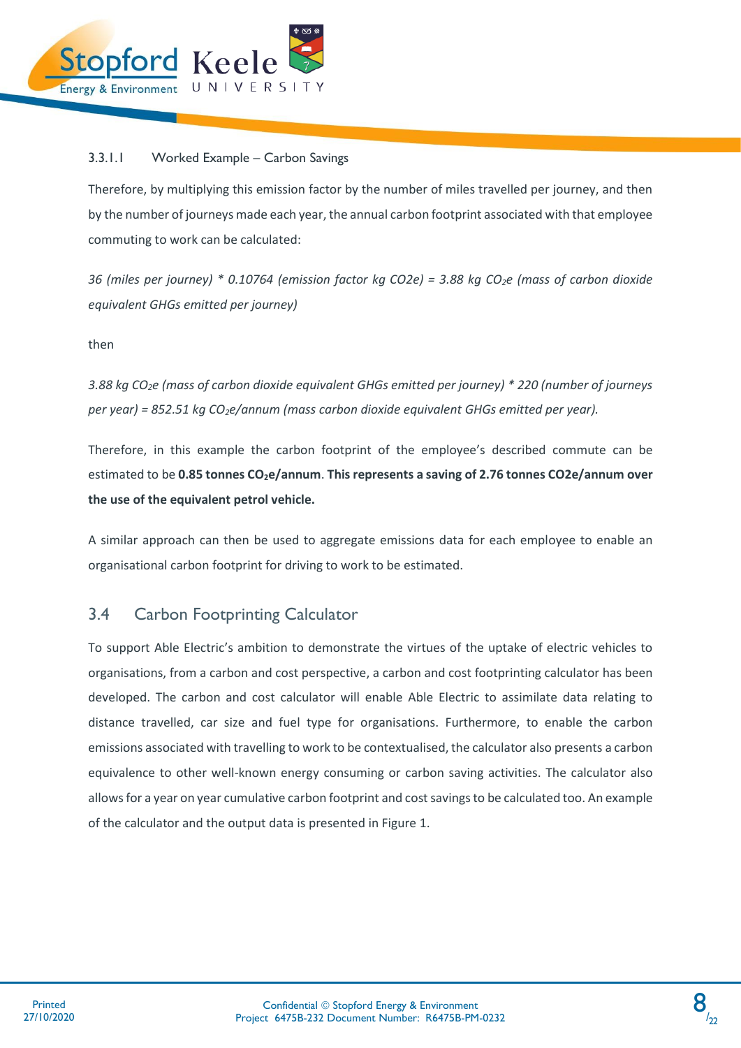

#### 3.3.1.1 Worked Example – Carbon Savings

Therefore, by multiplying this emission factor by the number of miles travelled per journey, and then by the number of journeys made each year, the annual carbon footprint associated with that employee commuting to work can be calculated:

*36 (miles per journey) \* 0.10764 (emission factor kg CO2e) = 3.88 kg CO2e (mass of carbon dioxide equivalent GHGs emitted per journey)*

then

*3.88 kg CO2e (mass of carbon dioxide equivalent GHGs emitted per journey) \* 220 (number of journeys per year) = 852.51 kg CO2e/annum (mass carbon dioxide equivalent GHGs emitted per year).*

Therefore, in this example the carbon footprint of the employee's described commute can be estimated to be **0.85 tonnes CO2e/annum**. **This represents a saving of 2.76 tonnes CO2e/annum over the use of the equivalent petrol vehicle.**

A similar approach can then be used to aggregate emissions data for each employee to enable an organisational carbon footprint for driving to work to be estimated.

### <span id="page-9-0"></span>3.4 Carbon Footprinting Calculator

To support Able Electric's ambition to demonstrate the virtues of the uptake of electric vehicles to organisations, from a carbon and cost perspective, a carbon and cost footprinting calculator has been developed. The carbon and cost calculator will enable Able Electric to assimilate data relating to distance travelled, car size and fuel type for organisations. Furthermore, to enable the carbon emissions associated with travelling to work to be contextualised, the calculator also presents a carbon equivalence to other well-known energy consuming or carbon saving activities. The calculator also allows for a year on year cumulative carbon footprint and cost savings to be calculated too. An example of the calculator and the output data is presented in Figure 1.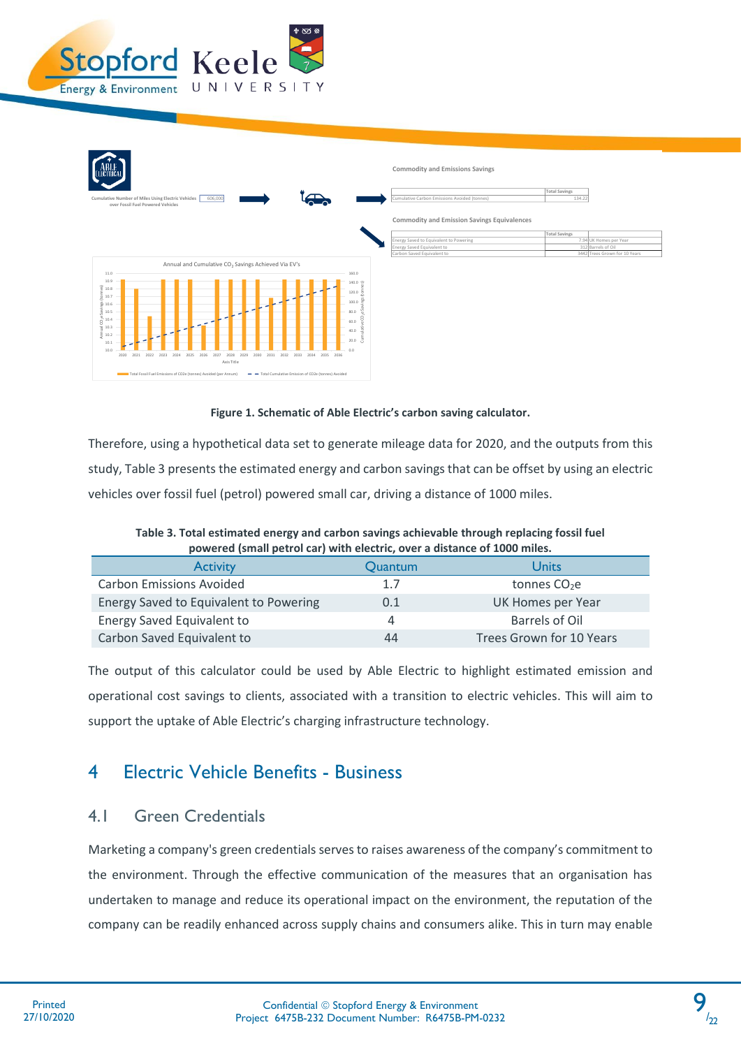



#### **Figure 1. Schematic of Able Electric's carbon saving calculator.**

Therefore, using a hypothetical data set to generate mileage data for 2020, and the outputs from this study, Table 3 presents the estimated energy and carbon savings that can be offset by using an electric vehicles over fossil fuel (petrol) powered small car, driving a distance of 1000 miles.

| powered (Sinah petrol car) with electric, over a distance of 1000 miles. |         |                          |  |  |  |  |  |
|--------------------------------------------------------------------------|---------|--------------------------|--|--|--|--|--|
| <b>Activity</b>                                                          | Quantum | Units                    |  |  |  |  |  |
| <b>Carbon Emissions Avoided</b>                                          | 1.7     | tonnes $CO2e$            |  |  |  |  |  |
| Energy Saved to Equivalent to Powering                                   | 0.1     | UK Homes per Year        |  |  |  |  |  |
| Energy Saved Equivalent to                                               | 4       | Barrels of Oil           |  |  |  |  |  |
| Carbon Saved Equivalent to                                               | 44      | Trees Grown for 10 Years |  |  |  |  |  |

**Table 3. Total estimated energy and carbon savings achievable through replacing fossil fuel powered (small petrol car) with electric, over a distance of 1000 miles.**

The output of this calculator could be used by Able Electric to highlight estimated emission and operational cost savings to clients, associated with a transition to electric vehicles. This will aim to support the uptake of Able Electric's charging infrastructure technology.

## <span id="page-10-0"></span>4 Electric Vehicle Benefits - Business

### <span id="page-10-1"></span>4.1 Green Credentials

Marketing a company's green credentials serves to raises awareness of the company's commitment to the environment. Through the effective communication of the measures that an organisation has undertaken to manage and reduce its operational impact on the environment, the reputation of the company can be readily enhanced across supply chains and consumers alike. This in turn may enable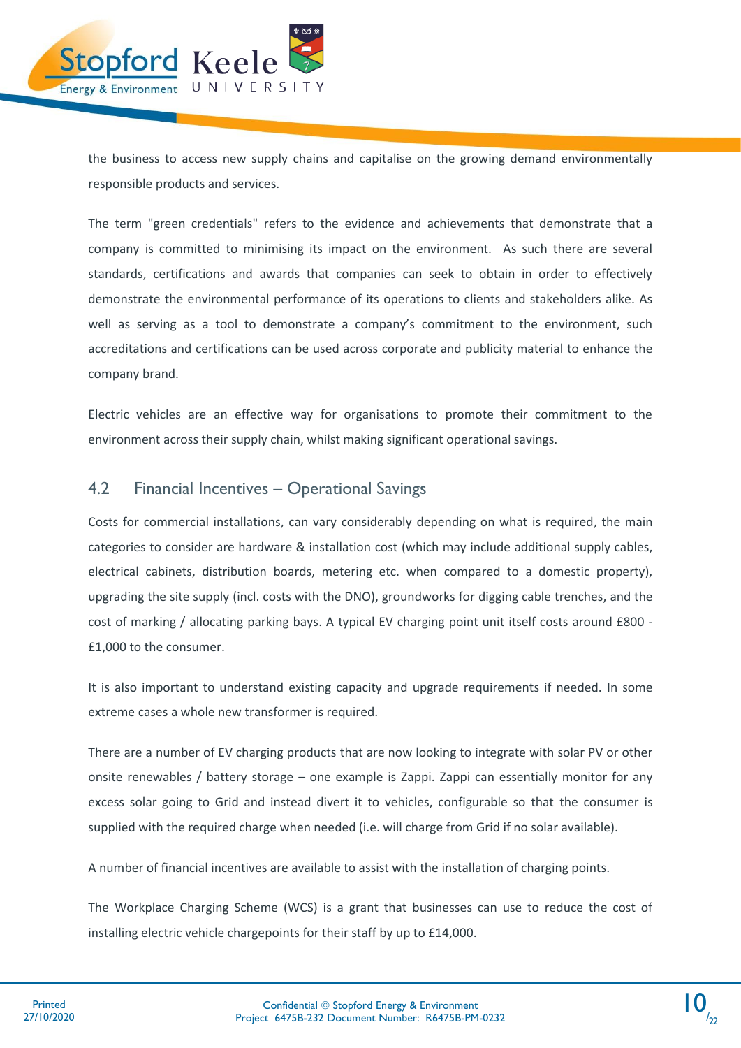

the business to access new supply chains and capitalise on the growing demand environmentally responsible products and services.

The term "green credentials" refers to the evidence and achievements that demonstrate that a company is committed to minimising its impact on the environment. As such there are several standards, certifications and awards that companies can seek to obtain in order to effectively demonstrate the environmental performance of its operations to clients and stakeholders alike. As well as serving as a tool to demonstrate a company's commitment to the environment, such accreditations and certifications can be used across corporate and publicity material to enhance the company brand.

Electric vehicles are an effective way for organisations to promote their commitment to the environment across their supply chain, whilst making significant operational savings.

### <span id="page-11-0"></span>4.2 Financial Incentives – Operational Savings

Costs for commercial installations, can vary considerably depending on what is required, the main categories to consider are hardware & installation cost (which may include additional supply cables, electrical cabinets, distribution boards, metering etc. when compared to a domestic property), upgrading the site supply (incl. costs with the DNO), groundworks for digging cable trenches, and the cost of marking / allocating parking bays. A typical EV charging point unit itself costs around £800 - £1,000 to the consumer.

It is also important to understand existing capacity and upgrade requirements if needed. In some extreme cases a whole new transformer is required.

There are a number of EV charging products that are now looking to integrate with solar PV or other onsite renewables / battery storage – one example is Zappi. Zappi can essentially monitor for any excess solar going to Grid and instead divert it to vehicles, configurable so that the consumer is supplied with the required charge when needed (i.e. will charge from Grid if no solar available).

A number of financial incentives are available to assist with the installation of charging points.

The Workplace Charging Scheme (WCS) is a grant that businesses can use to reduce the cost of installing electric vehicle chargepoints for their staff by up to £14,000.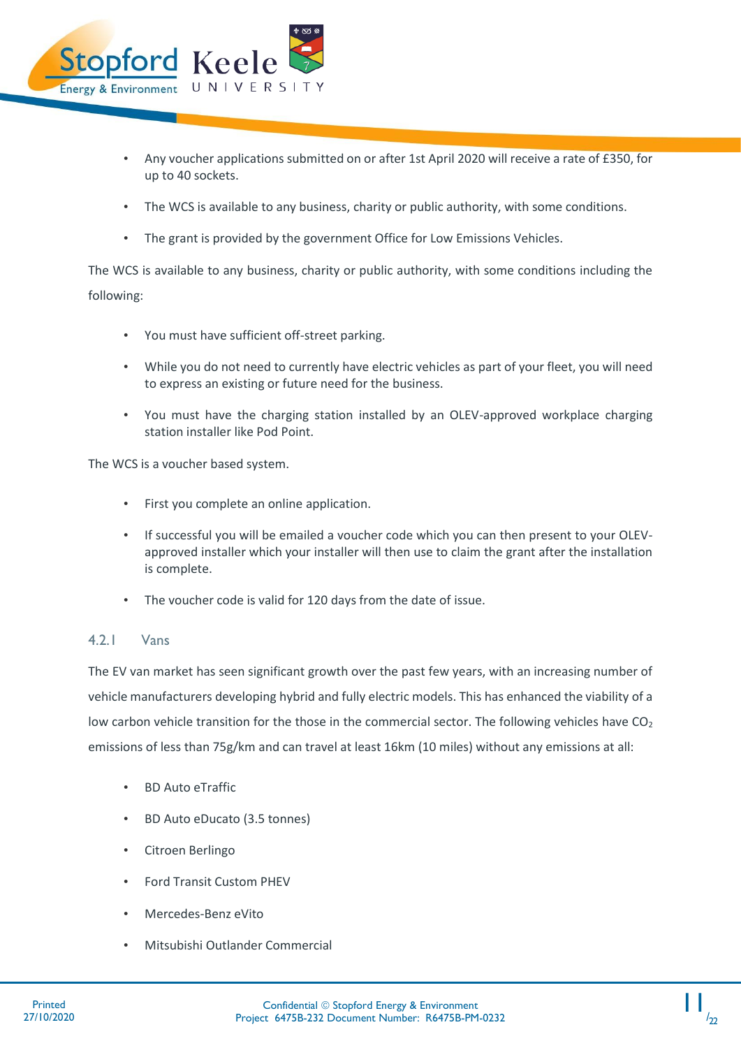

- Any voucher applications submitted on or after 1st April 2020 will receive a rate of £350, for up to 40 sockets.
- The WCS is available to any business, charity or public authority, with some conditions.
- The grant is provided by the government Office for Low Emissions Vehicles.

The WCS is available to any business, charity or public authority, with some conditions including the following:

- You must have sufficient off-street parking.
- While you do not need to currently have electric vehicles as part of your fleet, you will need to express an existing or future need for the business.
- You must have the charging station installed by an OLEV-approved workplace charging station installer like Pod Point.

The WCS is a voucher based system.

- First you complete an online application.
- If successful you will be emailed a voucher code which you can then present to your OLEVapproved installer which your installer will then use to claim the grant after the installation is complete.
- The voucher code is valid for 120 days from the date of issue.

#### 4.2.1 Vans

The EV van market has seen significant growth over the past few years, with an increasing number of vehicle manufacturers developing hybrid and fully electric models. This has enhanced the viability of a low carbon vehicle transition for the those in the commercial sector. The following vehicles have  $CO<sub>2</sub>$ emissions of less than 75g/km and can travel at least 16km (10 miles) without any emissions at all:

- BD Auto eTraffic
- BD Auto eDucato (3.5 tonnes)
- Citroen Berlingo
- Ford Transit Custom PHEV
- Mercedes-Benz eVito
- Mitsubishi Outlander Commercial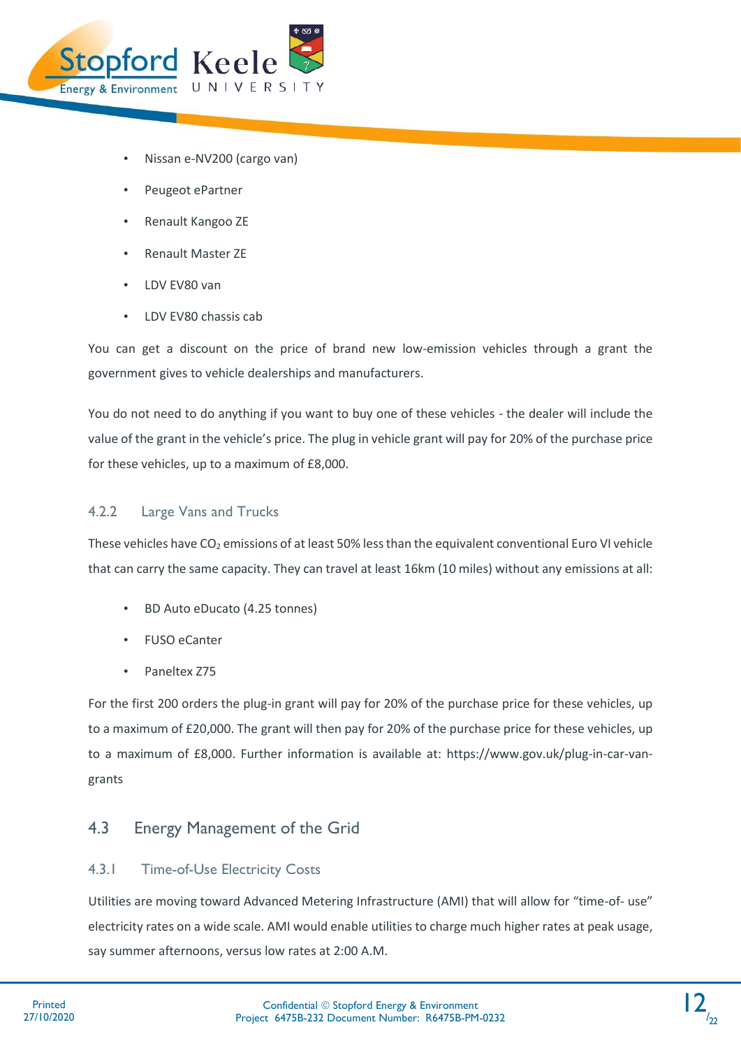

- Nissan e-NV200 (cargo van)
- Peugeot ePartner
- Renault Kangoo ZE
- Renault Master ZE
- LDV EV80 van
- LDV EV80 chassis cab

You can get a discount on the price of brand new low-emission vehicles through a grant the government gives to vehicle dealerships and manufacturers.

You do not need to do anything if you want to buy one of these vehicles - the dealer will include the value of the grant in the vehicle's price. The plug in vehicle grant will pay for 20% of the purchase price for these vehicles, up to a maximum of £8,000.

#### 4.2.2 Large Vans and Trucks

These vehicles have  $CO<sub>2</sub>$  emissions of at least 50% less than the equivalent conventional Euro VI vehicle that can carry the same capacity. They can travel at least 16km (10 miles) without any emissions at all:

- BD Auto eDucato (4.25 tonnes)
- FUSO eCanter
- Paneltex Z75

For the first 200 orders the plug-in grant will pay for 20% of the purchase price for these vehicles, up to a maximum of £20,000. The grant will then pay for 20% of the purchase price for these vehicles, up to a maximum of £8,000. Further information is available at: https://www.gov.uk/plug-in-car-vangrants

### <span id="page-13-0"></span>4.3 Energy Management of the Grid

#### 4.3.1 Time-of-Use Electricity Costs

Utilities are moving toward Advanced Metering Infrastructure (AMI) that will allow for "time-of- use" electricity rates on a wide scale. AMI would enable utilities to charge much higher rates at peak usage, say summer afternoons, versus low rates at 2:00 A.M.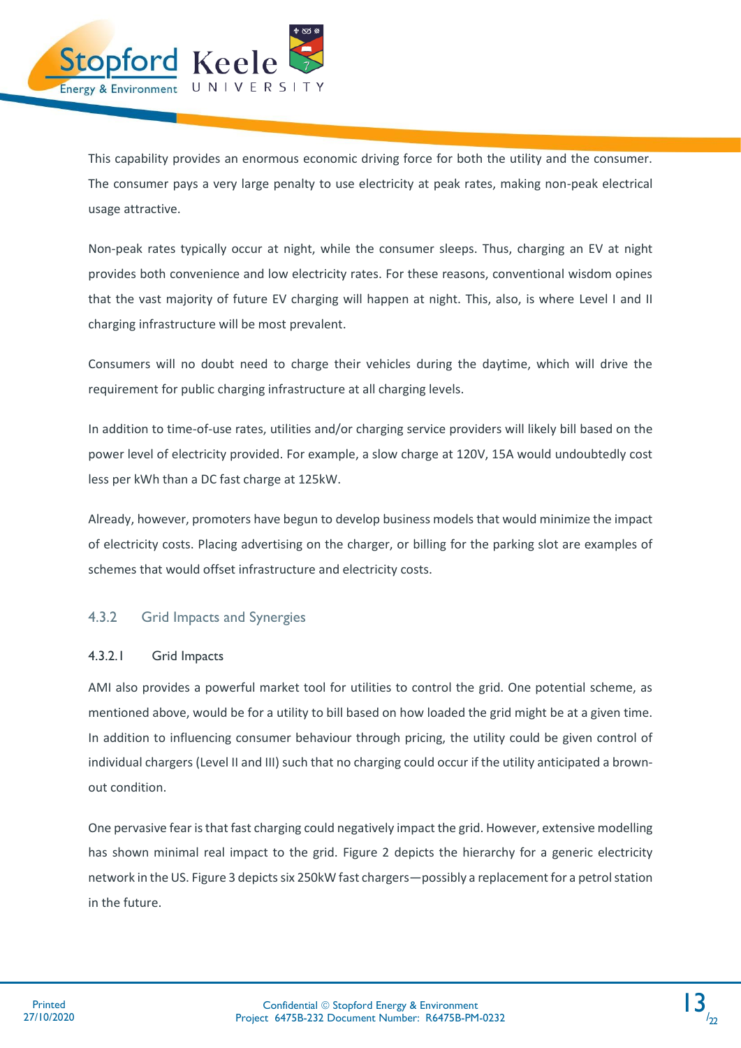

This capability provides an enormous economic driving force for both the utility and the consumer. The consumer pays a very large penalty to use electricity at peak rates, making non-peak electrical usage attractive.

Non-peak rates typically occur at night, while the consumer sleeps. Thus, charging an EV at night provides both convenience and low electricity rates. For these reasons, conventional wisdom opines that the vast majority of future EV charging will happen at night. This, also, is where Level I and II charging infrastructure will be most prevalent.

Consumers will no doubt need to charge their vehicles during the daytime, which will drive the requirement for public charging infrastructure at all charging levels.

In addition to time-of-use rates, utilities and/or charging service providers will likely bill based on the power level of electricity provided. For example, a slow charge at 120V, 15A would undoubtedly cost less per kWh than a DC fast charge at 125kW.

Already, however, promoters have begun to develop business models that would minimize the impact of electricity costs. Placing advertising on the charger, or billing for the parking slot are examples of schemes that would offset infrastructure and electricity costs.

#### 4.3.2 Grid Impacts and Synergies

#### 4.3.2.1 Grid Impacts

AMI also provides a powerful market tool for utilities to control the grid. One potential scheme, as mentioned above, would be for a utility to bill based on how loaded the grid might be at a given time. In addition to influencing consumer behaviour through pricing, the utility could be given control of individual chargers (Level II and III) such that no charging could occur if the utility anticipated a brownout condition.

One pervasive fear is that fast charging could negatively impact the grid. However, extensive modelling has shown minimal real impact to the grid. [Figure 2](#page-15-0) depicts the hierarchy for a generic electricity network in the US[. Figure 3](#page-16-0) depicts six 250kW fast chargers—possibly a replacement for a petrol station in the future.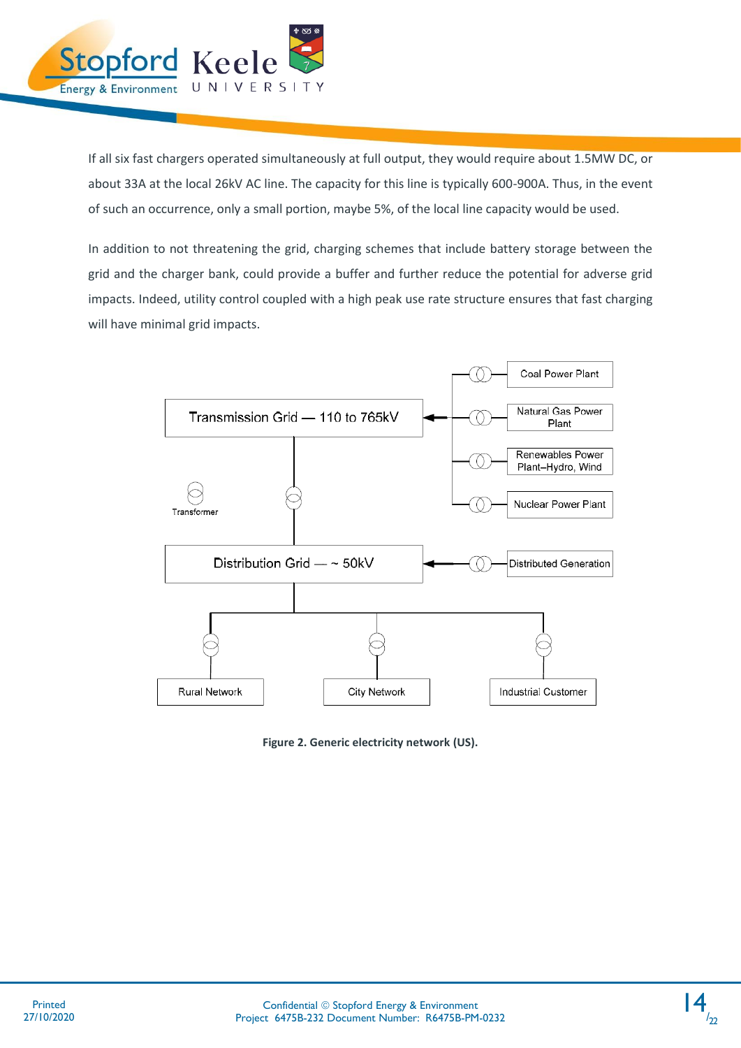

If all six fast chargers operated simultaneously at full output, they would require about 1.5MW DC, or about 33A at the local 26kV AC line. The capacity for this line is typically 600-900A. Thus, in the event of such an occurrence, only a small portion, maybe 5%, of the local line capacity would be used.

In addition to not threatening the grid, charging schemes that include battery storage between the grid and the charger bank, could provide a buffer and further reduce the potential for adverse grid impacts. Indeed, utility control coupled with a high peak use rate structure ensures that fast charging will have minimal grid impacts.



<span id="page-15-0"></span>**Figure 2. Generic electricity network (US).**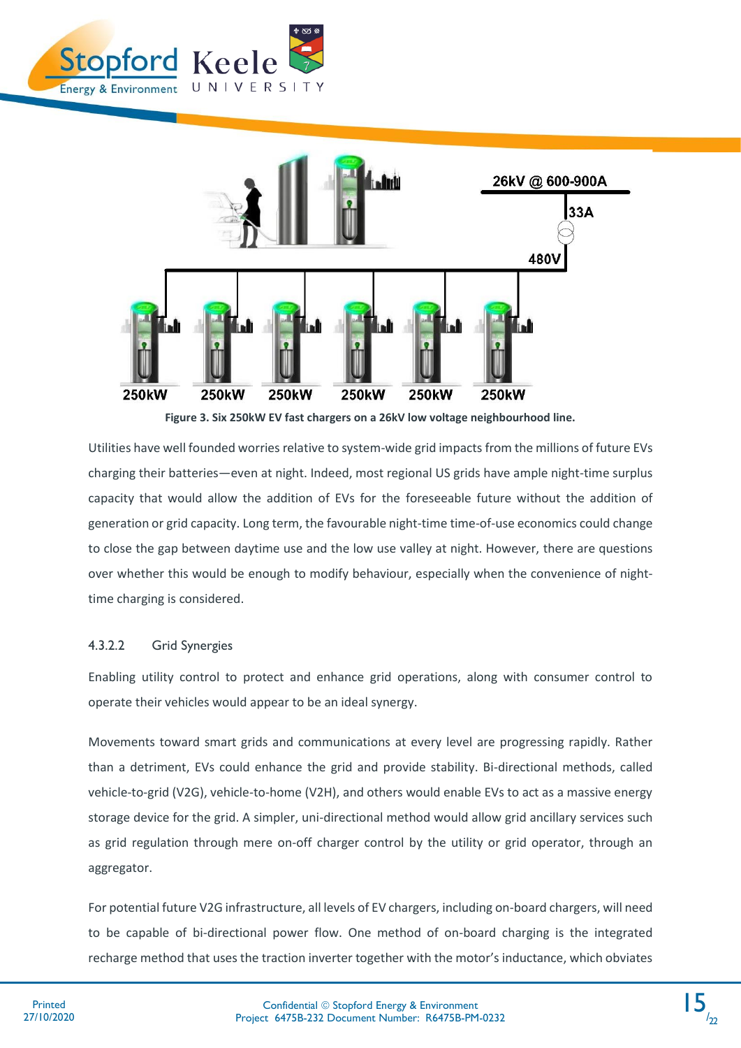



**Figure 3. Six 250kW EV fast chargers on a 26kV low voltage neighbourhood line.**

<span id="page-16-0"></span>Utilities have well founded worries relative to system-wide grid impacts from the millions of future EVs charging their batteries—even at night. Indeed, most regional US grids have ample night-time surplus capacity that would allow the addition of EVs for the foreseeable future without the addition of generation or grid capacity. Long term, the favourable night-time time-of-use economics could change to close the gap between daytime use and the low use valley at night. However, there are questions over whether this would be enough to modify behaviour, especially when the convenience of nighttime charging is considered.

#### 4.3.2.2 Grid Synergies

Enabling utility control to protect and enhance grid operations, along with consumer control to operate their vehicles would appear to be an ideal synergy.

Movements toward smart grids and communications at every level are progressing rapidly. Rather than a detriment, EVs could enhance the grid and provide stability. Bi-directional methods, called vehicle-to-grid (V2G), vehicle-to-home (V2H), and others would enable EVs to act as a massive energy storage device for the grid. A simpler, uni-directional method would allow grid ancillary services such as grid regulation through mere on-off charger control by the utility or grid operator, through an aggregator.

For potential future V2G infrastructure, all levels of EV chargers, including on-board chargers, will need to be capable of bi-directional power flow. One method of on-board charging is the integrated recharge method that uses the traction inverter together with the motor's inductance, which obviates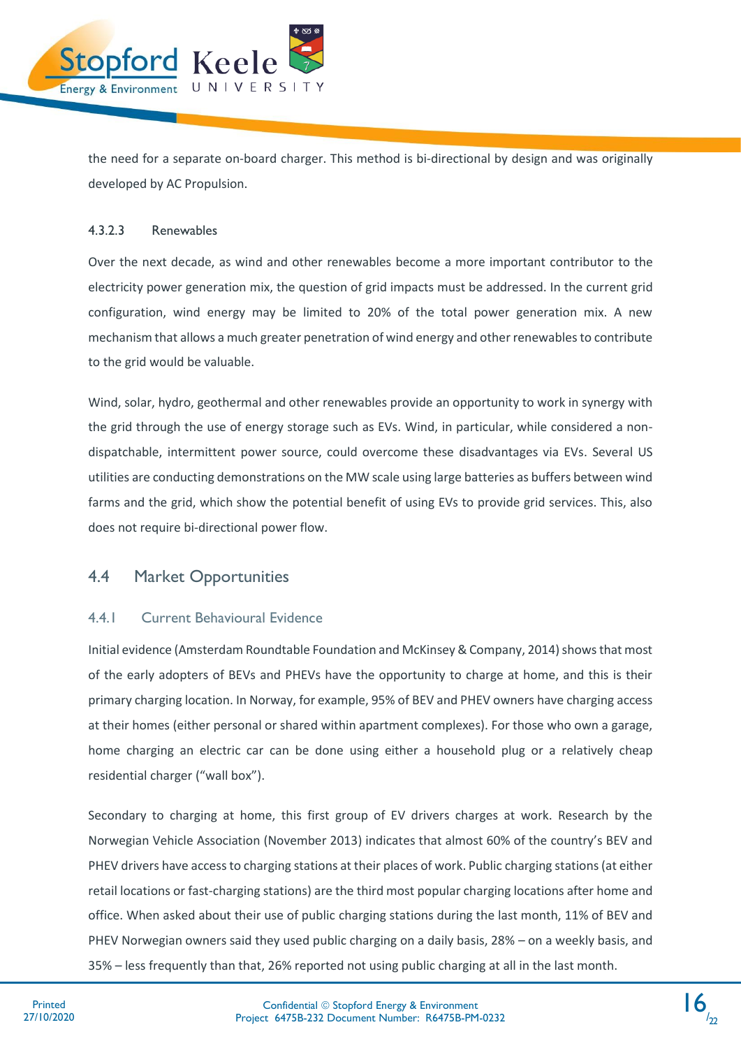

the need for a separate on-board charger. This method is bi-directional by design and was originally developed by AC Propulsion.

#### 4.3.2.3 Renewables

Over the next decade, as wind and other renewables become a more important contributor to the electricity power generation mix, the question of grid impacts must be addressed. In the current grid configuration, wind energy may be limited to 20% of the total power generation mix. A new mechanism that allows a much greater penetration of wind energy and other renewables to contribute to the grid would be valuable.

Wind, solar, hydro, geothermal and other renewables provide an opportunity to work in synergy with the grid through the use of energy storage such as EVs. Wind, in particular, while considered a nondispatchable, intermittent power source, could overcome these disadvantages via EVs. Several US utilities are conducting demonstrations on the MW scale using large batteries as buffers between wind farms and the grid, which show the potential benefit of using EVs to provide grid services. This, also does not require bi-directional power flow.

#### <span id="page-17-0"></span>4.4 Market Opportunities

#### 4.4.1 Current Behavioural Evidence

Initial evidence (Amsterdam Roundtable Foundation and McKinsey & Company, 2014) shows that most of the early adopters of BEVs and PHEVs have the opportunity to charge at home, and this is their primary charging location. In Norway, for example, 95% of BEV and PHEV owners have charging access at their homes (either personal or shared within apartment complexes). For those who own a garage, home charging an electric car can be done using either a household plug or a relatively cheap residential charger ("wall box").

Secondary to charging at home, this first group of EV drivers charges at work. Research by the Norwegian Vehicle Association (November 2013) indicates that almost 60% of the country's BEV and PHEV drivers have access to charging stations at their places of work. Public charging stations (at either retail locations or fast-charging stations) are the third most popular charging locations after home and office. When asked about their use of public charging stations during the last month, 11% of BEV and PHEV Norwegian owners said they used public charging on a daily basis, 28% – on a weekly basis, and 35% – less frequently than that, 26% reported not using public charging at all in the last month.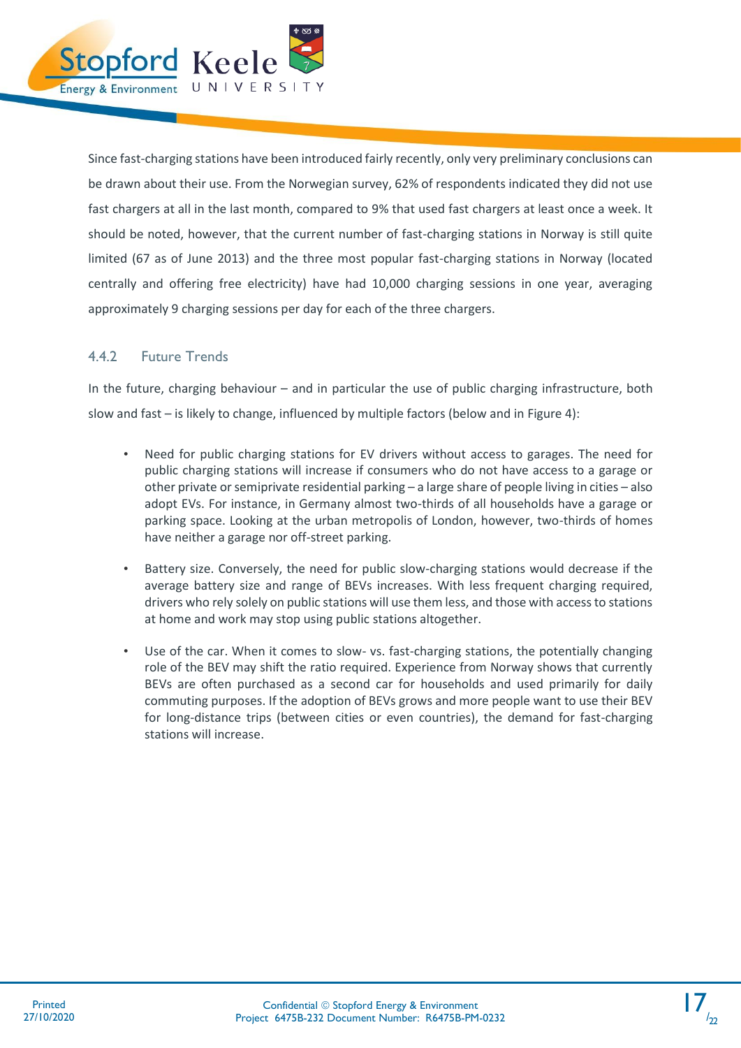

Since fast-charging stations have been introduced fairly recently, only very preliminary conclusions can be drawn about their use. From the Norwegian survey, 62% of respondents indicated they did not use fast chargers at all in the last month, compared to 9% that used fast chargers at least once a week. It should be noted, however, that the current number of fast-charging stations in Norway is still quite limited (67 as of June 2013) and the three most popular fast-charging stations in Norway (located centrally and offering free electricity) have had 10,000 charging sessions in one year, averaging approximately 9 charging sessions per day for each of the three chargers.

#### 4.4.2 Future Trends

In the future, charging behaviour – and in particular the use of public charging infrastructure, both slow and fast – is likely to change, influenced by multiple factors (below and in [Figure 4\)](#page-19-2):

- Need for public charging stations for EV drivers without access to garages. The need for public charging stations will increase if consumers who do not have access to a garage or other private or semiprivate residential parking – a large share of people living in cities – also adopt EVs. For instance, in Germany almost two-thirds of all households have a garage or parking space. Looking at the urban metropolis of London, however, two-thirds of homes have neither a garage nor off-street parking.
- Battery size. Conversely, the need for public slow-charging stations would decrease if the average battery size and range of BEVs increases. With less frequent charging required, drivers who rely solely on public stations will use them less, and those with access to stations at home and work may stop using public stations altogether.
- Use of the car. When it comes to slow- vs. fast-charging stations, the potentially changing role of the BEV may shift the ratio required. Experience from Norway shows that currently BEVs are often purchased as a second car for households and used primarily for daily commuting purposes. If the adoption of BEVs grows and more people want to use their BEV for long-distance trips (between cities or even countries), the demand for fast-charging stations will increase.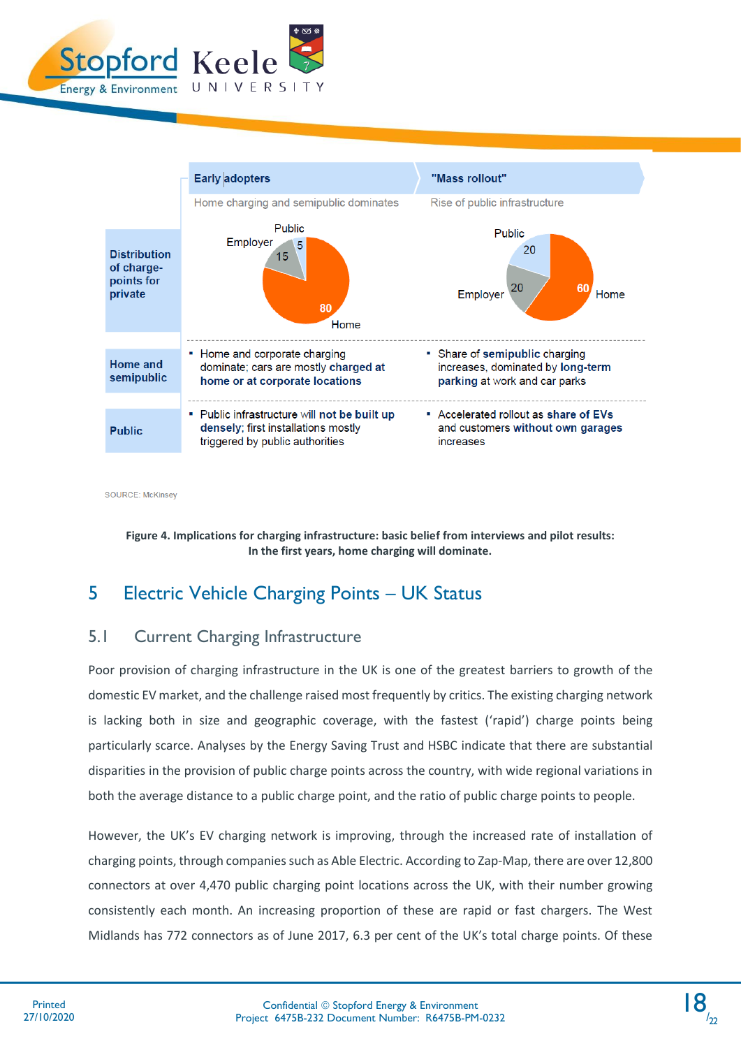



**SOURCE: McKinsey** 

<span id="page-19-2"></span>**Figure 4. Implications for charging infrastructure: basic belief from interviews and pilot results: In the first years, home charging will dominate.**

# <span id="page-19-0"></span>5 Electric Vehicle Charging Points – UK Status

### <span id="page-19-1"></span>5.1 Current Charging Infrastructure

Poor provision of charging infrastructure in the UK is one of the greatest barriers to growth of the domestic EV market, and the challenge raised most frequently by critics. The existing charging network is lacking both in size and geographic coverage, with the fastest ('rapid') charge points being particularly scarce. Analyses by the Energy Saving Trust and HSBC indicate that there are substantial disparities in the provision of public charge points across the country, with wide regional variations in both the average distance to a public charge point, and the ratio of public charge points to people.

However, the UK's EV charging network is improving, through the increased rate of installation of charging points, through companies such as Able Electric. According to Zap-Map, there are over 12,800 connectors at over 4,470 public charging point locations across the UK, with their number growing consistently each month. An increasing proportion of these are rapid or fast chargers. The West Midlands has 772 connectors as of June 2017, 6.3 per cent of the UK's total charge points. Of these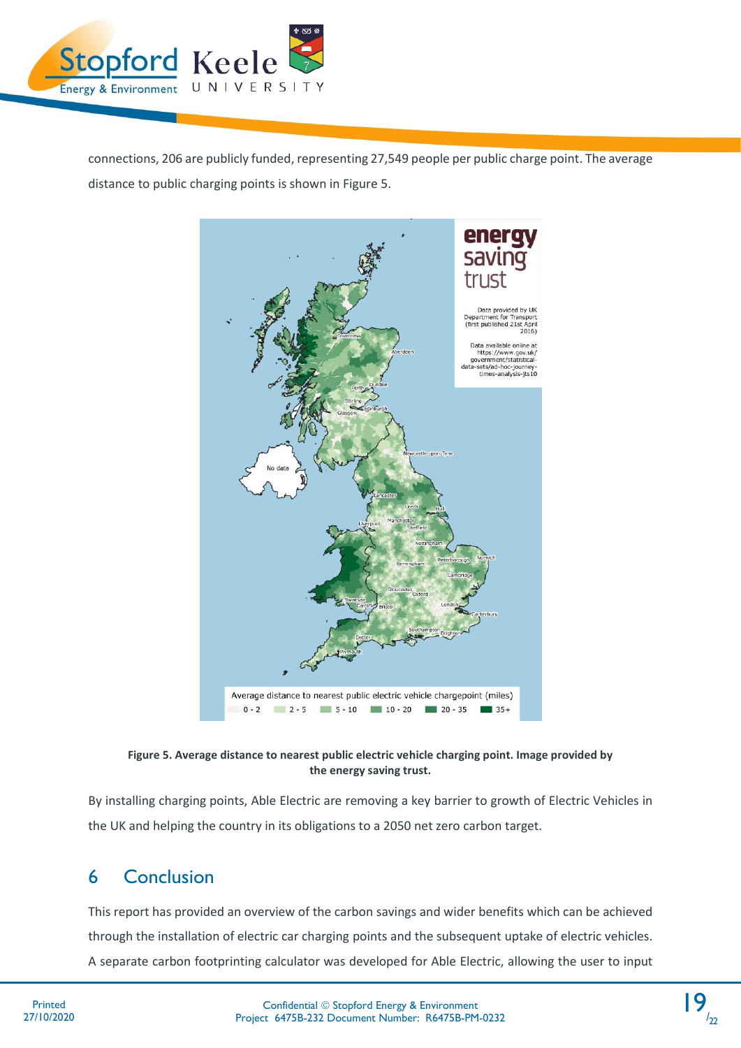

connections, 206 are publicly funded, representing 27,549 people per public charge point. The average distance to public charging points is shown i[n Figure 5.](#page-20-1)



<span id="page-20-1"></span>**Figure 5. Average distance to nearest public electric vehicle charging point. Image provided by the energy saving trust.**

By installing charging points, Able Electric are removing a key barrier to growth of Electric Vehicles in the UK and helping the country in its obligations to a 2050 net zero carbon target.

# <span id="page-20-0"></span>6 Conclusion

This report has provided an overview of the carbon savings and wider benefits which can be achieved through the installation of electric car charging points and the subsequent uptake of electric vehicles. A separate carbon footprinting calculator was developed for Able Electric, allowing the user to input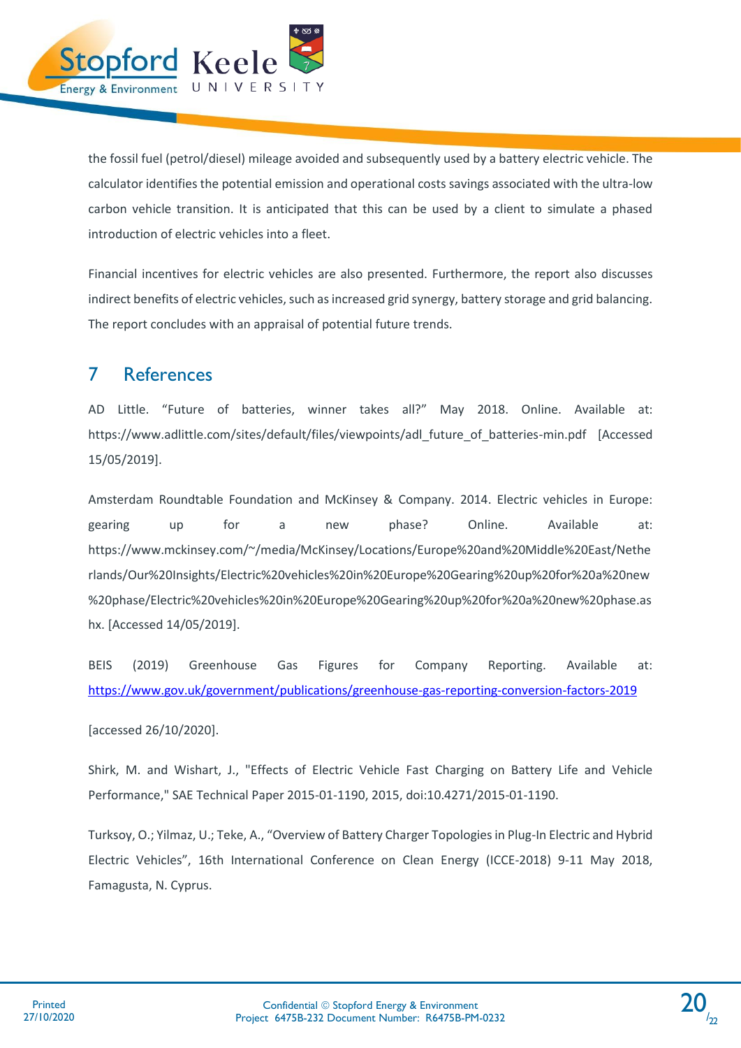

the fossil fuel (petrol/diesel) mileage avoided and subsequently used by a battery electric vehicle. The calculator identifies the potential emission and operational costs savings associated with the ultra-low carbon vehicle transition. It is anticipated that this can be used by a client to simulate a phased introduction of electric vehicles into a fleet.

Financial incentives for electric vehicles are also presented. Furthermore, the report also discusses indirect benefits of electric vehicles, such as increased grid synergy, battery storage and grid balancing. The report concludes with an appraisal of potential future trends.

# <span id="page-21-0"></span>7 References

AD Little. "Future of batteries, winner takes all?" May 2018. Online. Available at: https://www.adlittle.com/sites/default/files/viewpoints/adl\_future\_of\_batteries-min.pdf [Accessed 15/05/2019].

Amsterdam Roundtable Foundation and McKinsey & Company. 2014. Electric vehicles in Europe: gearing up for a new phase? Online. Available at: https://www.mckinsey.com/~/media/McKinsey/Locations/Europe%20and%20Middle%20East/Nethe rlands/Our%20Insights/Electric%20vehicles%20in%20Europe%20Gearing%20up%20for%20a%20new %20phase/Electric%20vehicles%20in%20Europe%20Gearing%20up%20for%20a%20new%20phase.as hx. [Accessed 14/05/2019].

BEIS (2019) Greenhouse Gas Figures for Company Reporting. Available at: <https://www.gov.uk/government/publications/greenhouse-gas-reporting-conversion-factors-2019>

[accessed 26/10/2020].

Shirk, M. and Wishart, J., "Effects of Electric Vehicle Fast Charging on Battery Life and Vehicle Performance," SAE Technical Paper 2015-01-1190, 2015, doi:10.4271/2015-01-1190.

Turksoy, O.; Yilmaz, U.; Teke, A., "Overview of Battery Charger Topologies in Plug-In Electric and Hybrid Electric Vehicles", 16th International Conference on Clean Energy (ICCE-2018) 9-11 May 2018, Famagusta, N. Cyprus.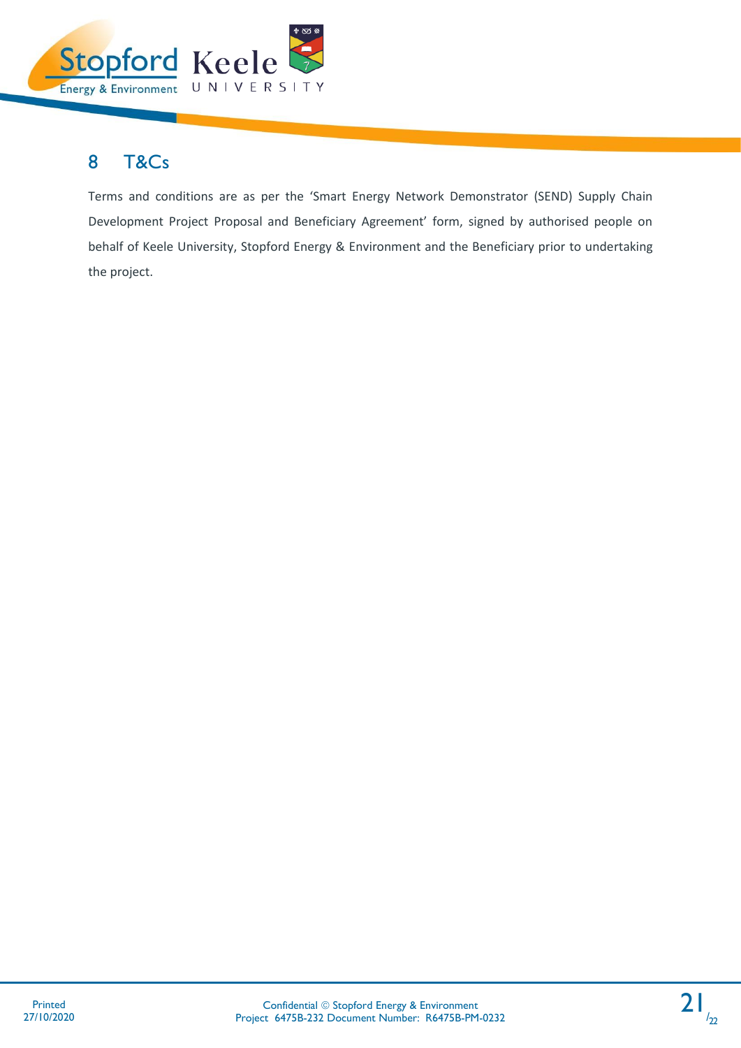

# <span id="page-22-0"></span>8 T&Cs

Terms and conditions are as per the 'Smart Energy Network Demonstrator (SEND) Supply Chain Development Project Proposal and Beneficiary Agreement' form, signed by authorised people on behalf of Keele University, Stopford Energy & Environment and the Beneficiary prior to undertaking the project.